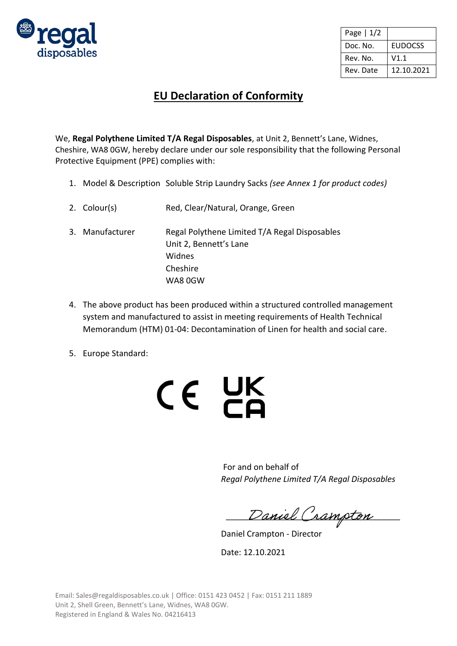

| Page $ 1/2$ |                |
|-------------|----------------|
| Doc. No.    | <b>EUDOCSS</b> |
| Rev. No.    | V1.1           |
| Rev. Date   | 12.10.2021     |

## **EU Declaration of Conformity**

We, **Regal Polythene Limited T/A Regal Disposables**, at Unit 2, Bennett's Lane, Widnes, Cheshire, WA8 0GW, hereby declare under our sole responsibility that the following Personal Protective Equipment (PPE) complies with:

- 1. Model & Description Soluble Strip Laundry Sacks *(see Annex 1 for product codes)*
- 2. Colour(s) Red, Clear/Natural, Orange, Green
- 3. Manufacturer Regal Polythene Limited T/A Regal Disposables Unit 2, Bennett's Lane Widnes Cheshire WA8 0GW
- 4. The above product has been produced within a structured controlled management system and manufactured to assist in meeting requirements of Health Technical Memorandum (HTM) 01-04: Decontamination of Linen for health and social care.
- 5. Europe Standard:



For and on behalf of *Regal Polythene Limited T/A Regal Disposables*

Daniel Crampton

Daniel Crampton - Director

Date: 12.10.2021